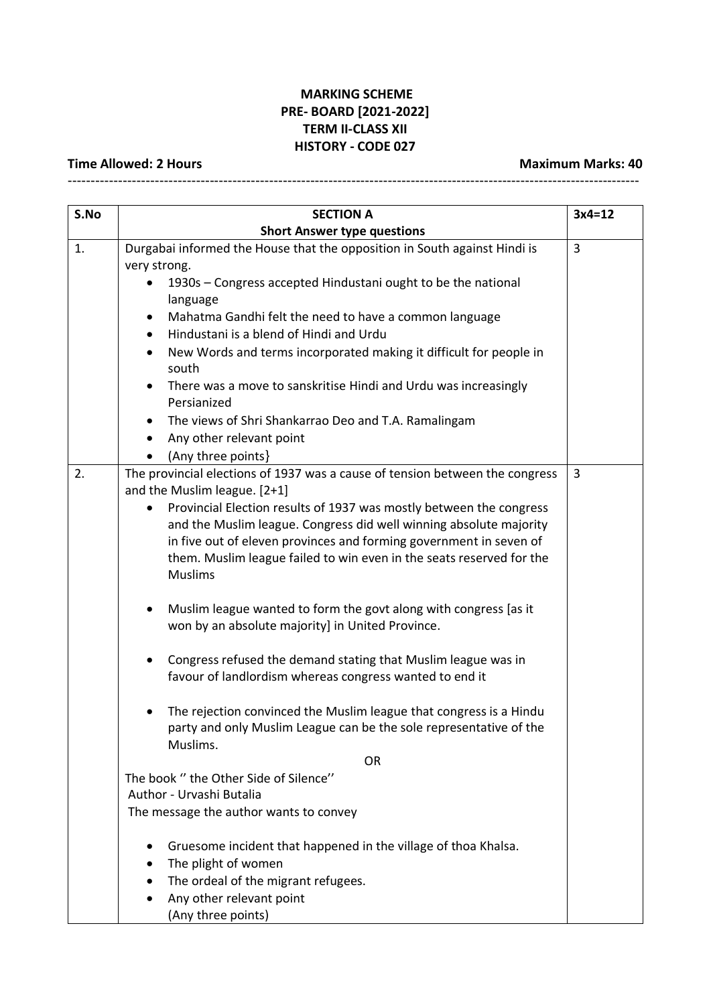## **MARKING SCHEME PRE- BOARD [2021-2022] TERM II-CLASS XII HISTORY - CODE 027**

-----------------------------------------------------------------------------------------------------------------------------

## **Time Allowed: 2 Hours Maximum Marks: 40**

| S.No | <b>SECTION A</b>                                                                                                                                     | $3x4=12$ |  |  |  |
|------|------------------------------------------------------------------------------------------------------------------------------------------------------|----------|--|--|--|
|      | <b>Short Answer type questions</b>                                                                                                                   |          |  |  |  |
| 1.   | Durgabai informed the House that the opposition in South against Hindi is                                                                            |          |  |  |  |
|      | very strong.                                                                                                                                         |          |  |  |  |
|      | 1930s - Congress accepted Hindustani ought to be the national<br>$\bullet$                                                                           |          |  |  |  |
|      | language                                                                                                                                             |          |  |  |  |
|      | Mahatma Gandhi felt the need to have a common language                                                                                               |          |  |  |  |
|      | Hindustani is a blend of Hindi and Urdu                                                                                                              |          |  |  |  |
|      | New Words and terms incorporated making it difficult for people in<br>south                                                                          |          |  |  |  |
|      | There was a move to sanskritise Hindi and Urdu was increasingly                                                                                      |          |  |  |  |
|      | Persianized                                                                                                                                          |          |  |  |  |
|      | The views of Shri Shankarrao Deo and T.A. Ramalingam                                                                                                 |          |  |  |  |
|      | Any other relevant point                                                                                                                             |          |  |  |  |
|      | (Any three points)                                                                                                                                   |          |  |  |  |
| 2.   | The provincial elections of 1937 was a cause of tension between the congress                                                                         | 3        |  |  |  |
|      | and the Muslim league. [2+1]                                                                                                                         |          |  |  |  |
|      | Provincial Election results of 1937 was mostly between the congress                                                                                  |          |  |  |  |
|      | and the Muslim league. Congress did well winning absolute majority                                                                                   |          |  |  |  |
|      | in five out of eleven provinces and forming government in seven of                                                                                   |          |  |  |  |
|      | them. Muslim league failed to win even in the seats reserved for the<br><b>Muslims</b>                                                               |          |  |  |  |
|      | Muslim league wanted to form the govt along with congress [as it<br>won by an absolute majority] in United Province.                                 |          |  |  |  |
|      | Congress refused the demand stating that Muslim league was in<br>favour of landlordism whereas congress wanted to end it                             |          |  |  |  |
|      | The rejection convinced the Muslim league that congress is a Hindu<br>party and only Muslim League can be the sole representative of the<br>Muslims. |          |  |  |  |
|      | <b>OR</b>                                                                                                                                            |          |  |  |  |
|      | The book " the Other Side of Silence"<br>Author - Urvashi Butalia                                                                                    |          |  |  |  |
|      | The message the author wants to convey                                                                                                               |          |  |  |  |
|      | Gruesome incident that happened in the village of thoa Khalsa.                                                                                       |          |  |  |  |
|      | The plight of women                                                                                                                                  |          |  |  |  |
|      | The ordeal of the migrant refugees.                                                                                                                  |          |  |  |  |
|      | Any other relevant point                                                                                                                             |          |  |  |  |
|      | (Any three points)                                                                                                                                   |          |  |  |  |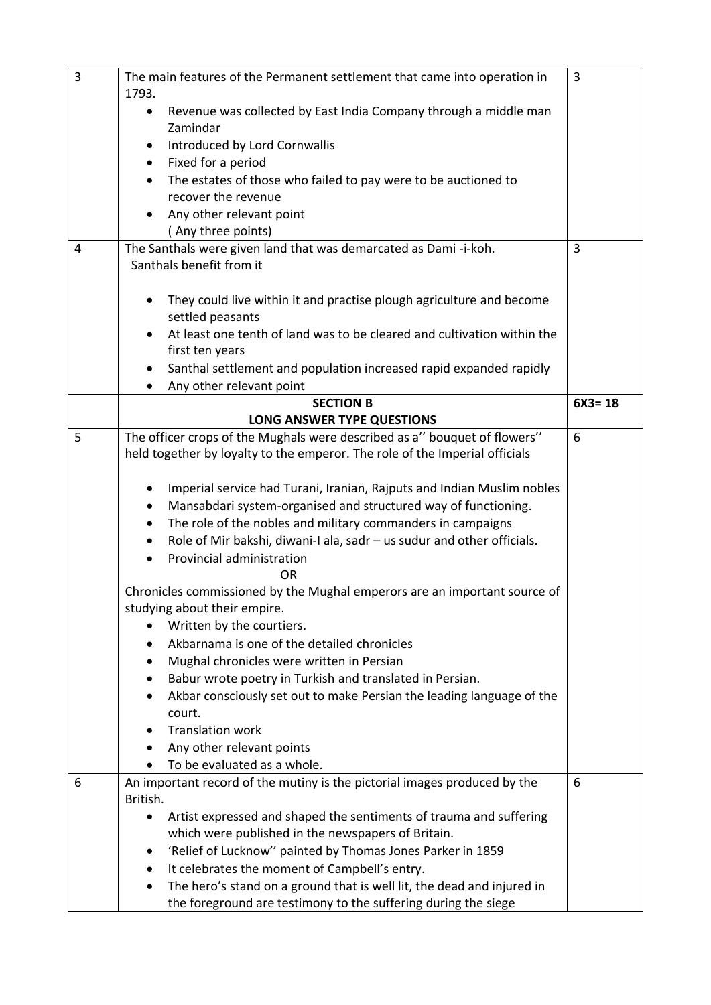| $\overline{3}$ |                                                                 | The main features of the Permanent settlement that came into operation in                                               | 3          |
|----------------|-----------------------------------------------------------------|-------------------------------------------------------------------------------------------------------------------------|------------|
|                | 1793.                                                           | Revenue was collected by East India Company through a middle man                                                        |            |
|                | $\bullet$                                                       | Zamindar                                                                                                                |            |
|                |                                                                 | Introduced by Lord Cornwallis                                                                                           |            |
|                | $\bullet$                                                       | Fixed for a period                                                                                                      |            |
|                |                                                                 | The estates of those who failed to pay were to be auctioned to                                                          |            |
|                |                                                                 | recover the revenue                                                                                                     |            |
|                |                                                                 | Any other relevant point                                                                                                |            |
|                |                                                                 | (Any three points)                                                                                                      | 3          |
| 4              | The Santhals were given land that was demarcated as Dami-i-koh. |                                                                                                                         |            |
|                |                                                                 | Santhals benefit from it                                                                                                |            |
|                |                                                                 | They could live within it and practise plough agriculture and become                                                    |            |
|                |                                                                 | settled peasants                                                                                                        |            |
|                |                                                                 | At least one tenth of land was to be cleared and cultivation within the                                                 |            |
|                |                                                                 | first ten years                                                                                                         |            |
|                |                                                                 | Santhal settlement and population increased rapid expanded rapidly                                                      |            |
|                |                                                                 | Any other relevant point                                                                                                |            |
|                |                                                                 | <b>SECTION B</b>                                                                                                        | $6X3 = 18$ |
|                |                                                                 | <b>LONG ANSWER TYPE QUESTIONS</b>                                                                                       |            |
| 5              |                                                                 | The officer crops of the Mughals were described as a" bouquet of flowers"                                               | 6          |
|                |                                                                 | held together by loyalty to the emperor. The role of the Imperial officials                                             |            |
|                | ٠                                                               | Imperial service had Turani, Iranian, Rajputs and Indian Muslim nobles                                                  |            |
|                |                                                                 | Mansabdari system-organised and structured way of functioning.                                                          |            |
|                |                                                                 | The role of the nobles and military commanders in campaigns                                                             |            |
|                |                                                                 | Role of Mir bakshi, diwani-I ala, sadr - us sudur and other officials.                                                  |            |
|                |                                                                 | Provincial administration                                                                                               |            |
|                |                                                                 | 0 <sub>R</sub>                                                                                                          |            |
|                |                                                                 | Chronicles commissioned by the Mughal emperors are an important source of                                               |            |
|                |                                                                 | studying about their empire.                                                                                            |            |
|                |                                                                 | Written by the courtiers.                                                                                               |            |
|                |                                                                 | Akbarnama is one of the detailed chronicles                                                                             |            |
|                |                                                                 | Mughal chronicles were written in Persian<br>Babur wrote poetry in Turkish and translated in Persian.                   |            |
|                |                                                                 | Akbar consciously set out to make Persian the leading language of the                                                   |            |
|                |                                                                 | court.                                                                                                                  |            |
|                |                                                                 | <b>Translation work</b>                                                                                                 |            |
|                |                                                                 | Any other relevant points                                                                                               |            |
|                |                                                                 | To be evaluated as a whole.                                                                                             |            |
| 6              |                                                                 | An important record of the mutiny is the pictorial images produced by the                                               | 6          |
|                | British.                                                        |                                                                                                                         |            |
|                |                                                                 | Artist expressed and shaped the sentiments of trauma and suffering                                                      |            |
|                |                                                                 | which were published in the newspapers of Britain.                                                                      |            |
|                |                                                                 | 'Relief of Lucknow" painted by Thomas Jones Parker in 1859                                                              |            |
|                |                                                                 | It celebrates the moment of Campbell's entry.<br>The hero's stand on a ground that is well lit, the dead and injured in |            |
|                |                                                                 | the foreground are testimony to the suffering during the siege                                                          |            |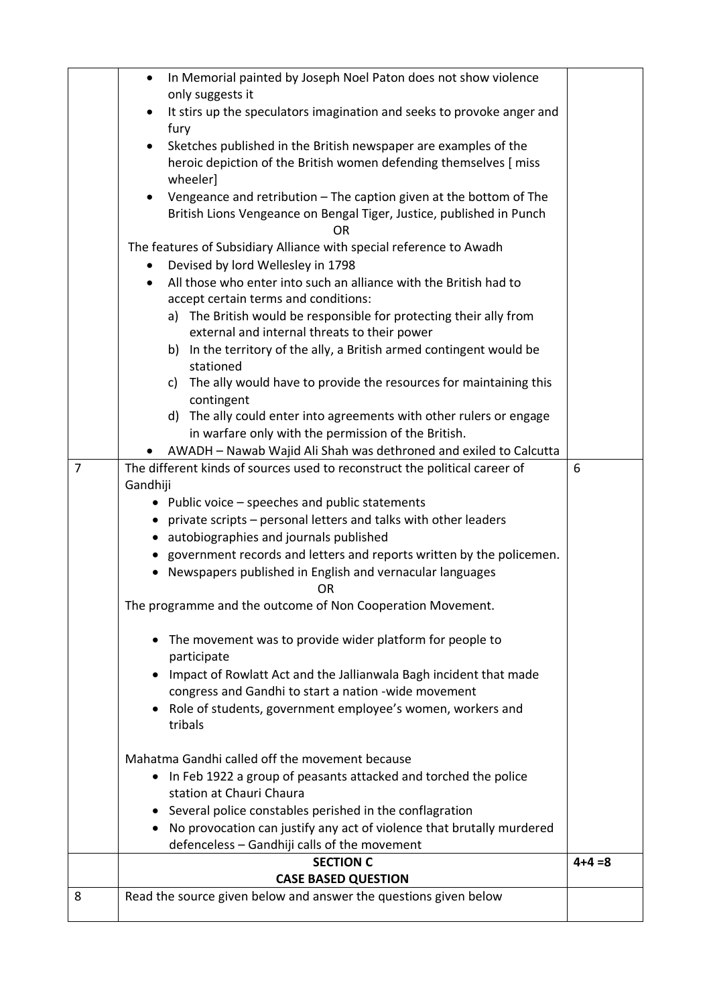| 8 | Read the source given below and answer the questions given below                    |             |
|---|-------------------------------------------------------------------------------------|-------------|
|   | <b>CASE BASED QUESTION</b>                                                          |             |
|   | <b>SECTION C</b>                                                                    | $4 + 4 = 8$ |
|   | defenceless - Gandhiji calls of the movement                                        |             |
|   | No provocation can justify any act of violence that brutally murdered               |             |
|   | Several police constables perished in the conflagration                             |             |
|   | station at Chauri Chaura                                                            |             |
|   | In Feb 1922 a group of peasants attacked and torched the police<br>$\bullet$        |             |
|   | Mahatma Gandhi called off the movement because                                      |             |
|   |                                                                                     |             |
|   | tribals                                                                             |             |
|   | Role of students, government employee's women, workers and                          |             |
|   | congress and Gandhi to start a nation -wide movement                                |             |
|   | Impact of Rowlatt Act and the Jallianwala Bagh incident that made<br>$\bullet$      |             |
|   | participate                                                                         |             |
|   | The movement was to provide wider platform for people to<br>$\bullet$               |             |
|   |                                                                                     |             |
|   | OR<br>The programme and the outcome of Non Cooperation Movement.                    |             |
|   | • Newspapers published in English and vernacular languages                          |             |
|   | • government records and letters and reports written by the policemen.              |             |
|   | • autobiographies and journals published                                            |             |
|   | • private scripts – personal letters and talks with other leaders                   |             |
|   | • Public voice – speeches and public statements                                     |             |
|   | Gandhiji                                                                            |             |
| 7 | The different kinds of sources used to reconstruct the political career of          | 6           |
|   | AWADH - Nawab Wajid Ali Shah was dethroned and exiled to Calcutta                   |             |
|   | in warfare only with the permission of the British.                                 |             |
|   | d) The ally could enter into agreements with other rulers or engage                 |             |
|   | contingent                                                                          |             |
|   | c) The ally would have to provide the resources for maintaining this                |             |
|   | stationed                                                                           |             |
|   | b) In the territory of the ally, a British armed contingent would be                |             |
|   | external and internal threats to their power                                        |             |
|   | a) The British would be responsible for protecting their ally from                  |             |
|   | accept certain terms and conditions:                                                |             |
|   | ٠<br>All those who enter into such an alliance with the British had to              |             |
|   | Devised by lord Wellesley in 1798                                                   |             |
|   | ΟR<br>The features of Subsidiary Alliance with special reference to Awadh           |             |
|   | British Lions Vengeance on Bengal Tiger, Justice, published in Punch                |             |
|   | Vengeance and retribution - The caption given at the bottom of The<br>$\bullet$     |             |
|   | wheeler]                                                                            |             |
|   | heroic depiction of the British women defending themselves [ miss                   |             |
|   | Sketches published in the British newspaper are examples of the<br>$\bullet$        |             |
|   | fury                                                                                |             |
|   | It stirs up the speculators imagination and seeks to provoke anger and<br>$\bullet$ |             |
|   | only suggests it                                                                    |             |
|   | In Memorial painted by Joseph Noel Paton does not show violence<br>$\bullet$        |             |